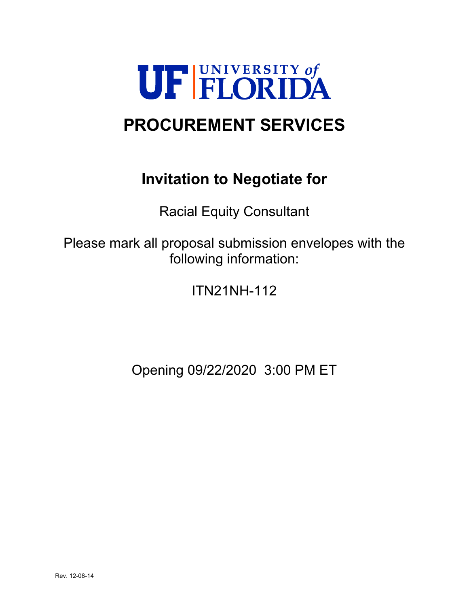

# **PROCUREMENT SERVICES**

# **Invitation to Negotiate for**

Racial Equity Consultant

Please mark all proposal submission envelopes with the following information:

ITN21NH-112

Opening 09/22/2020 3:00 PM ET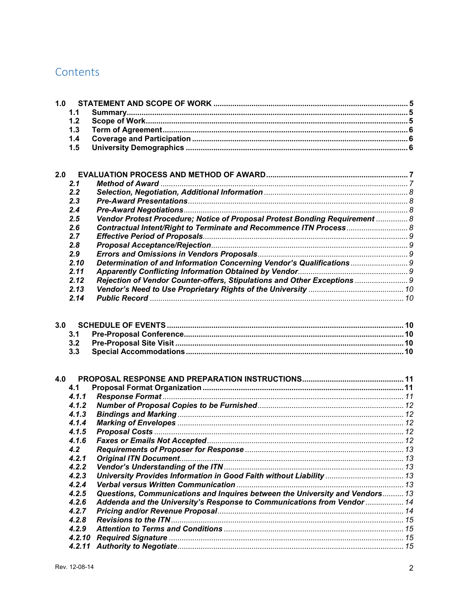# Contents

| 1.0 |            |                                                                              |  |
|-----|------------|------------------------------------------------------------------------------|--|
|     | 1.1        |                                                                              |  |
|     | 1.2        |                                                                              |  |
|     | 1.3        |                                                                              |  |
|     | 1.4        |                                                                              |  |
|     | 1.5        |                                                                              |  |
|     |            |                                                                              |  |
|     |            |                                                                              |  |
| 2.0 |            |                                                                              |  |
|     | 2.1        |                                                                              |  |
|     | 2.2        |                                                                              |  |
|     | 2.3        |                                                                              |  |
|     | 2.4        |                                                                              |  |
|     | 2.5        | Vendor Protest Procedure; Notice of Proposal Protest Bonding Requirement  8  |  |
|     | 2.6        | Contractual Intent/Right to Terminate and Recommence ITN Process 8           |  |
|     | 2.7        |                                                                              |  |
|     | 2.8        |                                                                              |  |
|     | 2.9        |                                                                              |  |
|     | 2.10       | Determination of and Information Concerning Vendor's Qualifications  9       |  |
|     | 2.11       |                                                                              |  |
|     | 2.12       | Rejection of Vendor Counter-offers, Stipulations and Other Exceptions  9     |  |
|     | 2.13       |                                                                              |  |
|     | 2.14       |                                                                              |  |
|     |            |                                                                              |  |
| 3.0 |            |                                                                              |  |
|     |            |                                                                              |  |
|     | 3.1<br>3.2 |                                                                              |  |
|     | 3.3        |                                                                              |  |
|     |            |                                                                              |  |
|     |            |                                                                              |  |
| 4.0 |            |                                                                              |  |
|     | 4.1        |                                                                              |  |
|     | 4.1.1      |                                                                              |  |
|     | 4.1.2      |                                                                              |  |
|     | 4.1.3      |                                                                              |  |
|     | 4.1.4      |                                                                              |  |
|     | 4.1.5      |                                                                              |  |
|     | 4.1.6      |                                                                              |  |
|     | 4.2        |                                                                              |  |
|     | 4.2.1      |                                                                              |  |
|     | 4.2.2      |                                                                              |  |
|     | 4.2.3      | University Provides Information in Good Faith without Liability  13          |  |
|     | 4.2.4      |                                                                              |  |
|     | 4.2.5      | Questions, Communications and Inquires between the University and Vendors 13 |  |
|     | 4.2.6      | Addenda and the University's Response to Communications from Vendor  14      |  |
|     | 4.2.7      |                                                                              |  |
|     | 4.2.8      |                                                                              |  |
|     | 4.2.9      |                                                                              |  |
|     | 4.2.10     |                                                                              |  |
|     | 4.2.11     |                                                                              |  |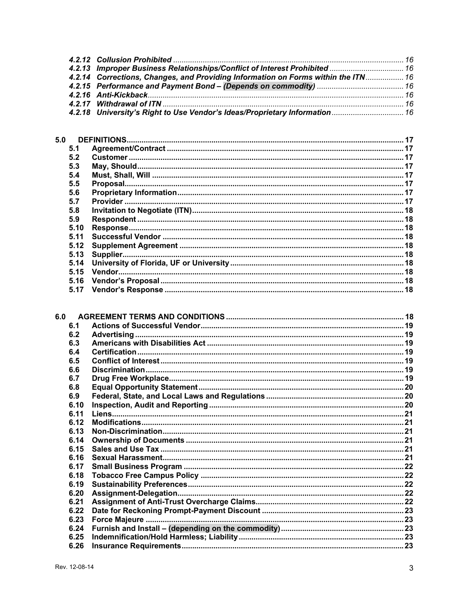| 4.2.13 Improper Business Relationships/Conflict of Interest Prohibited  16        |  |
|-----------------------------------------------------------------------------------|--|
| 4.2.14 Corrections, Changes, and Providing Information on Forms within the ITN 16 |  |
|                                                                                   |  |
|                                                                                   |  |
|                                                                                   |  |
| 4.2.18 University's Right to Use Vendor's Ideas/Proprietary Information 16        |  |
|                                                                                   |  |

| 5.0  |  |
|------|--|
| 5.1  |  |
| 5.2  |  |
| 5.3  |  |
| 5.4  |  |
| 5.5  |  |
| 5.6  |  |
| 5.7  |  |
| 5.8  |  |
| 5.9  |  |
| 5.10 |  |
| 5.11 |  |
| 5.12 |  |
| 5.13 |  |
| 5.14 |  |
| 5.15 |  |
| 5.16 |  |
| 5.17 |  |

| 6.1  |  |
|------|--|
| 6.2  |  |
| 6.3  |  |
| 6.4  |  |
| 6.5  |  |
| 6.6  |  |
| 6.7  |  |
| 6.8  |  |
| 6.9  |  |
| 6.10 |  |
| 6.11 |  |
| 6.12 |  |
| 6.13 |  |
| 6.14 |  |
| 6.15 |  |
| 6.16 |  |
| 6.17 |  |
| 6.18 |  |
| 6.19 |  |
| 6.20 |  |
| 6.21 |  |
| 6.22 |  |
| 6.23 |  |
| 6.24 |  |
| 6.25 |  |
| 6.26 |  |
|      |  |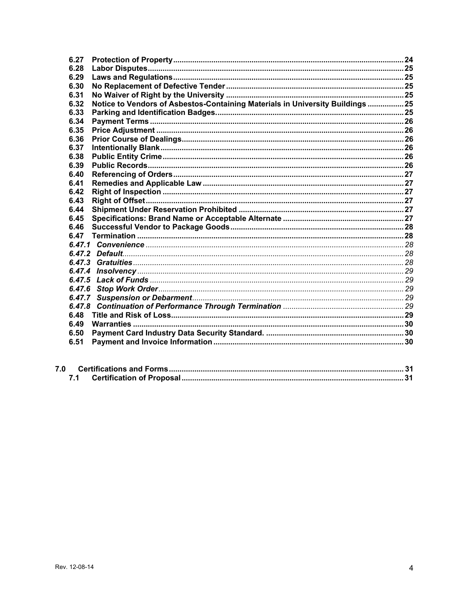| 6.27   |                                                                                |    |
|--------|--------------------------------------------------------------------------------|----|
| 6.28   |                                                                                |    |
| 6.29   |                                                                                |    |
| 6.30   |                                                                                |    |
| 6.31   |                                                                                |    |
| 6.32   | Notice to Vendors of Asbestos-Containing Materials in University Buildings  25 |    |
| 6.33   |                                                                                |    |
| 6.34   |                                                                                |    |
| 6.35   |                                                                                |    |
| 6.36   |                                                                                |    |
| 6.37   |                                                                                |    |
| 6.38   |                                                                                |    |
| 6.39   |                                                                                |    |
| 6.40   |                                                                                |    |
| 6.41   |                                                                                |    |
| 6.42   |                                                                                |    |
| 6.43   |                                                                                |    |
|        |                                                                                |    |
| 6.44   |                                                                                |    |
| 6.45   |                                                                                |    |
| 6.46   |                                                                                |    |
| 6.47   |                                                                                |    |
|        |                                                                                |    |
|        |                                                                                |    |
|        |                                                                                |    |
| 6.47.4 |                                                                                |    |
| 6.47.5 |                                                                                |    |
| 6.47.6 |                                                                                |    |
|        |                                                                                |    |
| 6.47.8 |                                                                                |    |
| 6.48   |                                                                                |    |
| 6.49   |                                                                                |    |
| 6.50   |                                                                                |    |
| 6.51   |                                                                                | 30 |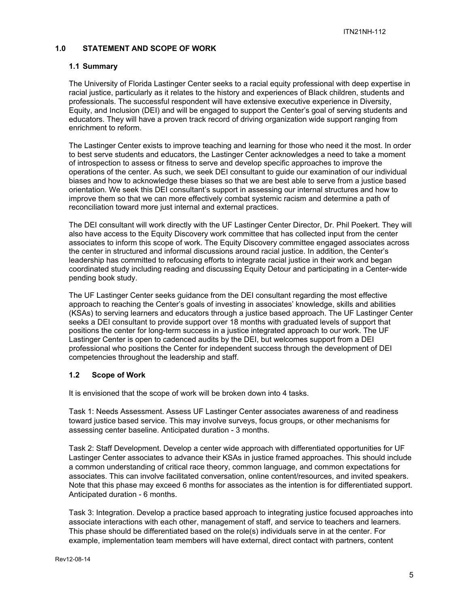# **1.0 STATEMENT AND SCOPE OF WORK**

#### **1.1 Summary**

The University of Florida Lastinger Center seeks to a racial equity professional with deep expertise in racial justice, particularly as it relates to the history and experiences of Black children, students and professionals. The successful respondent will have extensive executive experience in Diversity, Equity, and Inclusion (DEI) and will be engaged to support the Center's goal of serving students and educators. They will have a proven track record of driving organization wide support ranging from enrichment to reform.

The Lastinger Center exists to improve teaching and learning for those who need it the most. In order to best serve students and educators, the Lastinger Center acknowledges a need to take a moment of introspection to assess or fitness to serve and develop specific approaches to improve the operations of the center. As such, we seek DEI consultant to guide our examination of our individual biases and how to acknowledge these biases so that we are best able to serve from a justice based orientation. We seek this DEI consultant's support in assessing our internal structures and how to improve them so that we can more effectively combat systemic racism and determine a path of reconciliation toward more just internal and external practices.

The DEI consultant will work directly with the UF Lastinger Center Director, Dr. Phil Poekert. They will also have access to the Equity Discovery work committee that has collected input from the center associates to inform this scope of work. The Equity Discovery committee engaged associates across the center in structured and informal discussions around racial justice. In addition, the Center's leadership has committed to refocusing efforts to integrate racial justice in their work and began coordinated study including reading and discussing Equity Detour and participating in a Center-wide pending book study.

The UF Lastinger Center seeks guidance from the DEI consultant regarding the most effective approach to reaching the Center's goals of investing in associates' knowledge, skills and abilities (KSAs) to serving learners and educators through a justice based approach. The UF Lastinger Center seeks a DEI consultant to provide support over 18 months with graduated levels of support that positions the center for long-term success in a justice integrated approach to our work. The UF Lastinger Center is open to cadenced audits by the DEI, but welcomes support from a DEI professional who positions the Center for independent success through the development of DEI competencies throughout the leadership and staff.

#### **1.2 Scope of Work**

It is envisioned that the scope of work will be broken down into 4 tasks.

Task 1: Needs Assessment. Assess UF Lastinger Center associates awareness of and readiness toward justice based service. This may involve surveys, focus groups, or other mechanisms for assessing center baseline. Anticipated duration - 3 months.

Task 2: Staff Development. Develop a center wide approach with differentiated opportunities for UF Lastinger Center associates to advance their KSAs in justice framed approaches. This should include a common understanding of critical race theory, common language, and common expectations for associates. This can involve facilitated conversation, online content/resources, and invited speakers. Note that this phase may exceed 6 months for associates as the intention is for differentiated support. Anticipated duration - 6 months.

Task 3: Integration. Develop a practice based approach to integrating justice focused approaches into associate interactions with each other, management of staff, and service to teachers and learners. This phase should be differentiated based on the role(s) individuals serve in at the center. For example, implementation team members will have external, direct contact with partners, content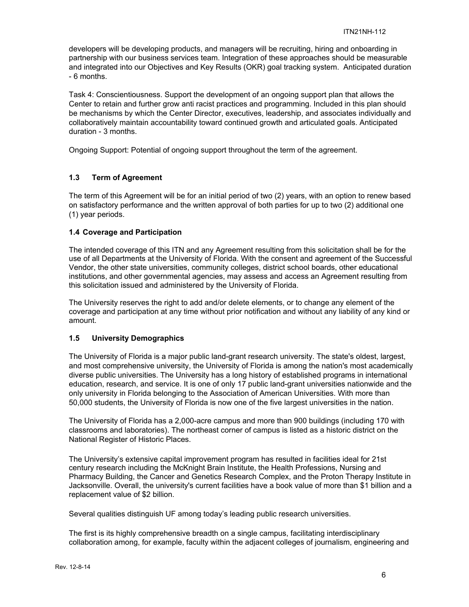developers will be developing products, and managers will be recruiting, hiring and onboarding in partnership with our business services team. Integration of these approaches should be measurable and integrated into our Objectives and Key Results (OKR) goal tracking system. Anticipated duration - 6 months.

Task 4: Conscientiousness. Support the development of an ongoing support plan that allows the Center to retain and further grow anti racist practices and programming. Included in this plan should be mechanisms by which the Center Director, executives, leadership, and associates individually and collaboratively maintain accountability toward continued growth and articulated goals. Anticipated duration - 3 months.

Ongoing Support: Potential of ongoing support throughout the term of the agreement.

# **1.3 Term of Agreement**

The term of this Agreement will be for an initial period of two (2) years, with an option to renew based on satisfactory performance and the written approval of both parties for up to two (2) additional one (1) year periods.

## **1.4 Coverage and Participation**

The intended coverage of this ITN and any Agreement resulting from this solicitation shall be for the use of all Departments at the University of Florida. With the consent and agreement of the Successful Vendor, the other state universities, community colleges, district school boards, other educational institutions, and other governmental agencies, may assess and access an Agreement resulting from this solicitation issued and administered by the University of Florida.

The University reserves the right to add and/or delete elements, or to change any element of the coverage and participation at any time without prior notification and without any liability of any kind or amount.

#### **1.5 University Demographics**

The University of Florida is a major public land-grant research university. The state's oldest, largest, and most comprehensive university, the University of Florida is among the nation's most academically diverse public universities. The University has a long history of established programs in international education, research, and service. It is one of only 17 public land-grant universities nationwide and the only university in Florida belonging to the Association of American Universities. With more than 50,000 students, the University of Florida is now one of the five largest universities in the nation.

The University of Florida has a 2,000-acre campus and more than 900 buildings (including 170 with classrooms and laboratories). The northeast corner of campus is listed as a historic district on the National Register of Historic Places.

The University's extensive capital improvement program has resulted in facilities ideal for 21st century research including the McKnight Brain Institute, the Health Professions, Nursing and Pharmacy Building, the Cancer and Genetics Research Complex, and the Proton Therapy Institute in Jacksonville. Overall, the university's current facilities have a book value of more than \$1 billion and a replacement value of \$2 billion.

Several qualities distinguish UF among today's leading public research universities.

The first is its highly comprehensive breadth on a single campus, facilitating interdisciplinary collaboration among, for example, faculty within the adjacent colleges of journalism, engineering and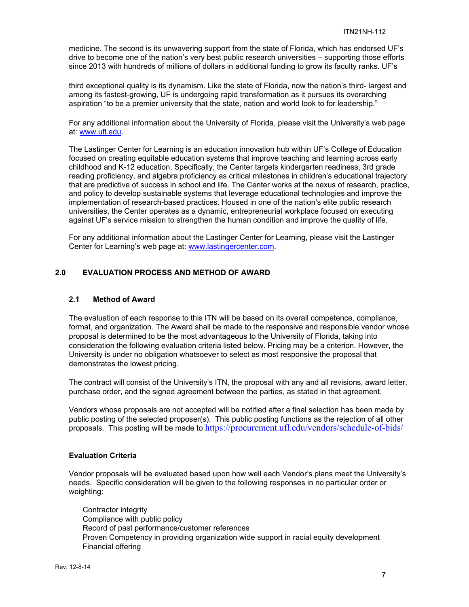medicine. The second is its unwavering support from the state of Florida, which has endorsed UF's drive to become one of the nation's very best public research universities – supporting those efforts since 2013 with hundreds of millions of dollars in additional funding to grow its faculty ranks. UF's

third exceptional quality is its dynamism. Like the state of Florida, now the nation's third- largest and among its fastest-growing, UF is undergoing rapid transformation as it pursues its overarching aspiration "to be a premier university that the state, nation and world look to for leadership."

For any additional information about the University of Florida, please visit the University's web page at: www.ufl.edu.

The Lastinger Center for Learning is an education innovation hub within UF's College of Education focused on creating equitable education systems that improve teaching and learning across early childhood and K-12 education. Specifically, the Center targets kindergarten readiness, 3rd grade reading proficiency, and algebra proficiency as critical milestones in children's educational trajectory that are predictive of success in school and life. The Center works at the nexus of research, practice, and policy to develop sustainable systems that leverage educational technologies and improve the implementation of research-based practices. Housed in one of the nation's elite public research universities, the Center operates as a dynamic, entrepreneurial workplace focused on executing against UF's service mission to strengthen the human condition and improve the quality of life.

For any additional information about the Lastinger Center for Learning, please visit the Lastinger Center for Learning's web page at: www.lastingercenter.com.

# **2.0 EVALUATION PROCESS AND METHOD OF AWARD**

#### **2.1 Method of Award**

The evaluation of each response to this ITN will be based on its overall competence, compliance, format, and organization. The Award shall be made to the responsive and responsible vendor whose proposal is determined to be the most advantageous to the University of Florida, taking into consideration the following evaluation criteria listed below. Pricing may be a criterion. However, the University is under no obligation whatsoever to select as most responsive the proposal that demonstrates the lowest pricing.

The contract will consist of the University's ITN, the proposal with any and all revisions, award letter, purchase order, and the signed agreement between the parties, as stated in that agreement.

Vendors whose proposals are not accepted will be notified after a final selection has been made by public posting of the selected proposer(s). This public posting functions as the rejection of all other proposals. This posting will be made to https://procurement.ufl.edu/vendors/schedule-of-bids/

#### **Evaluation Criteria**

Vendor proposals will be evaluated based upon how well each Vendor's plans meet the University's needs. Specific consideration will be given to the following responses in no particular order or weighting:

Contractor integrity Compliance with public policy Record of past performance/customer references Proven Competency in providing organization wide support in racial equity development Financial offering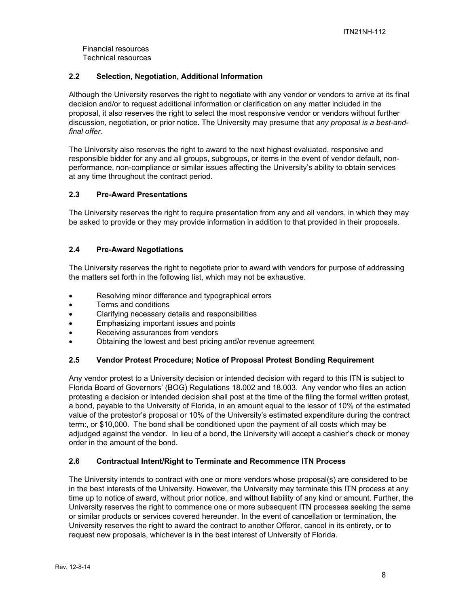Financial resources Technical resources

# **2.2 Selection, Negotiation, Additional Information**

Although the University reserves the right to negotiate with any vendor or vendors to arrive at its final decision and/or to request additional information or clarification on any matter included in the proposal, it also reserves the right to select the most responsive vendor or vendors without further discussion, negotiation, or prior notice. The University may presume that *any proposal is a best-andfinal offer.* 

The University also reserves the right to award to the next highest evaluated, responsive and responsible bidder for any and all groups, subgroups, or items in the event of vendor default, nonperformance, non-compliance or similar issues affecting the University's ability to obtain services at any time throughout the contract period.

## **2.3 Pre-Award Presentations**

The University reserves the right to require presentation from any and all vendors, in which they may be asked to provide or they may provide information in addition to that provided in their proposals.

# **2.4 Pre-Award Negotiations**

The University reserves the right to negotiate prior to award with vendors for purpose of addressing the matters set forth in the following list, which may not be exhaustive.

- Resolving minor difference and typographical errors
- Terms and conditions
- Clarifying necessary details and responsibilities
- Emphasizing important issues and points
- Receiving assurances from vendors
- Obtaining the lowest and best pricing and/or revenue agreement

#### **2.5 Vendor Protest Procedure; Notice of Proposal Protest Bonding Requirement**

Any vendor protest to a University decision or intended decision with regard to this ITN is subject to Florida Board of Governors' (BOG) Regulations 18.002 and 18.003. Any vendor who files an action protesting a decision or intended decision shall post at the time of the filing the formal written protest, a bond, payable to the University of Florida, in an amount equal to the lessor of 10% of the estimated value of the protestor's proposal or 10% of the University's estimated expenditure during the contract term:, or \$10,000. The bond shall be conditioned upon the payment of all costs which may be adjudged against the vendor. In lieu of a bond, the University will accept a cashier's check or money order in the amount of the bond.

# **2.6 Contractual Intent/Right to Terminate and Recommence ITN Process**

The University intends to contract with one or more vendors whose proposal(s) are considered to be in the best interests of the University. However, the University may terminate this ITN process at any time up to notice of award, without prior notice, and without liability of any kind or amount. Further, the University reserves the right to commence one or more subsequent ITN processes seeking the same or similar products or services covered hereunder. In the event of cancellation or termination, the University reserves the right to award the contract to another Offeror, cancel in its entirety, or to request new proposals, whichever is in the best interest of University of Florida.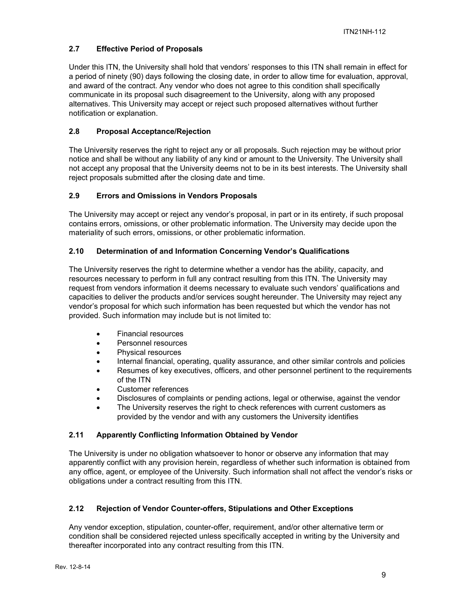# **2.7 Effective Period of Proposals**

Under this ITN, the University shall hold that vendors' responses to this ITN shall remain in effect for a period of ninety (90) days following the closing date, in order to allow time for evaluation, approval, and award of the contract. Any vendor who does not agree to this condition shall specifically communicate in its proposal such disagreement to the University, along with any proposed alternatives. This University may accept or reject such proposed alternatives without further notification or explanation.

# **2.8 Proposal Acceptance/Rejection**

The University reserves the right to reject any or all proposals. Such rejection may be without prior notice and shall be without any liability of any kind or amount to the University. The University shall not accept any proposal that the University deems not to be in its best interests. The University shall reject proposals submitted after the closing date and time.

## **2.9 Errors and Omissions in Vendors Proposals**

The University may accept or reject any vendor's proposal, in part or in its entirety, if such proposal contains errors, omissions, or other problematic information. The University may decide upon the materiality of such errors, omissions, or other problematic information.

## **2.10 Determination of and Information Concerning Vendor's Qualifications**

The University reserves the right to determine whether a vendor has the ability, capacity, and resources necessary to perform in full any contract resulting from this ITN. The University may request from vendors information it deems necessary to evaluate such vendors' qualifications and capacities to deliver the products and/or services sought hereunder. The University may reject any vendor's proposal for which such information has been requested but which the vendor has not provided. Such information may include but is not limited to:

- Financial resources
- Personnel resources
- Physical resources
- Internal financial, operating, quality assurance, and other similar controls and policies
- Resumes of key executives, officers, and other personnel pertinent to the requirements of the ITN
- Customer references
- Disclosures of complaints or pending actions, legal or otherwise, against the vendor
- The University reserves the right to check references with current customers as provided by the vendor and with any customers the University identifies

#### **2.11 Apparently Conflicting Information Obtained by Vendor**

The University is under no obligation whatsoever to honor or observe any information that may apparently conflict with any provision herein, regardless of whether such information is obtained from any office, agent, or employee of the University. Such information shall not affect the vendor's risks or obligations under a contract resulting from this ITN.

# **2.12 Rejection of Vendor Counter-offers, Stipulations and Other Exceptions**

Any vendor exception, stipulation, counter-offer, requirement, and/or other alternative term or condition shall be considered rejected unless specifically accepted in writing by the University and thereafter incorporated into any contract resulting from this ITN.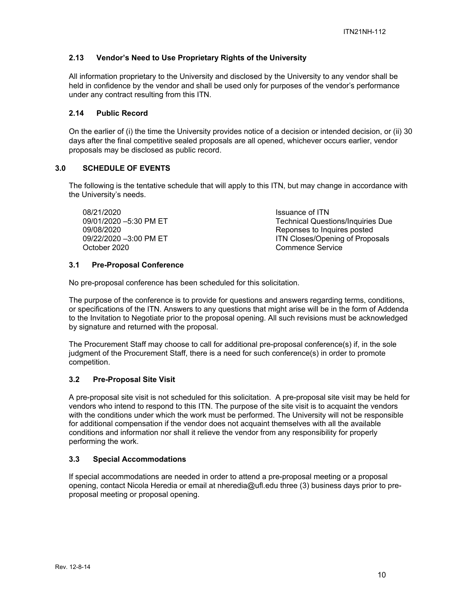# **2.13 Vendor's Need to Use Proprietary Rights of the University**

All information proprietary to the University and disclosed by the University to any vendor shall be held in confidence by the vendor and shall be used only for purposes of the vendor's performance under any contract resulting from this ITN.

## **2.14 Public Record**

On the earlier of (i) the time the University provides notice of a decision or intended decision, or (ii) 30 days after the final competitive sealed proposals are all opened, whichever occurs earlier, vendor proposals may be disclosed as public record.

## **3.0 SCHEDULE OF EVENTS**

The following is the tentative schedule that will apply to this ITN, but may change in accordance with the University's needs.

08/21/2020 Issuance of ITN 09/01/2020 –5:30 PM ET Technical Questions/Inquiries Due 09/08/2020 Reponses to Inquires posted October 2020 Commence Service

ITN Closes/Opening of Proposals

## **3.1 Pre-Proposal Conference**

No pre-proposal conference has been scheduled for this solicitation.

The purpose of the conference is to provide for questions and answers regarding terms, conditions, or specifications of the ITN. Answers to any questions that might arise will be in the form of Addenda to the Invitation to Negotiate prior to the proposal opening. All such revisions must be acknowledged by signature and returned with the proposal.

The Procurement Staff may choose to call for additional pre-proposal conference(s) if, in the sole judgment of the Procurement Staff, there is a need for such conference(s) in order to promote competition.

# **3.2 Pre-Proposal Site Visit**

A pre-proposal site visit is not scheduled for this solicitation. A pre-proposal site visit may be held for vendors who intend to respond to this ITN. The purpose of the site visit is to acquaint the vendors with the conditions under which the work must be performed. The University will not be responsible for additional compensation if the vendor does not acquaint themselves with all the available conditions and information nor shall it relieve the vendor from any responsibility for properly performing the work.

#### **3.3 Special Accommodations**

If special accommodations are needed in order to attend a pre-proposal meeting or a proposal opening, contact Nicola Heredia or email at nheredia@ufl.edu three (3) business days prior to preproposal meeting or proposal opening.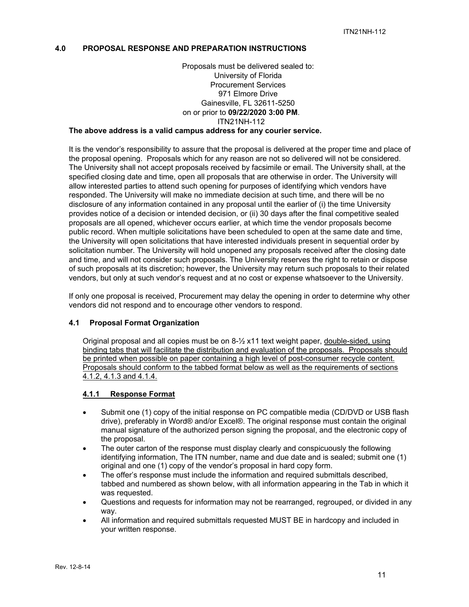#### **4.0 PROPOSAL RESPONSE AND PREPARATION INSTRUCTIONS**

# Proposals must be delivered sealed to: University of Florida Procurement Services 971 Elmore Drive Gainesville, FL 32611-5250 on or prior to **09/22/2020 3:00 PM**. ITN21NH-112

# **The above address is a valid campus address for any courier service.**

It is the vendor's responsibility to assure that the proposal is delivered at the proper time and place of the proposal opening. Proposals which for any reason are not so delivered will not be considered. The University shall not accept proposals received by facsimile or email. The University shall, at the specified closing date and time, open all proposals that are otherwise in order. The University will allow interested parties to attend such opening for purposes of identifying which vendors have responded. The University will make no immediate decision at such time, and there will be no disclosure of any information contained in any proposal until the earlier of (i) the time University provides notice of a decision or intended decision, or (ii) 30 days after the final competitive sealed proposals are all opened, whichever occurs earlier, at which time the vendor proposals become public record. When multiple solicitations have been scheduled to open at the same date and time, the University will open solicitations that have interested individuals present in sequential order by solicitation number. The University will hold unopened any proposals received after the closing date and time, and will not consider such proposals. The University reserves the right to retain or dispose of such proposals at its discretion; however, the University may return such proposals to their related vendors, but only at such vendor's request and at no cost or expense whatsoever to the University.

If only one proposal is received, Procurement may delay the opening in order to determine why other vendors did not respond and to encourage other vendors to respond.

#### **4.1 Proposal Format Organization**

Original proposal and all copies must be on 8-½ x11 text weight paper, double-sided, using binding tabs that will facilitate the distribution and evaluation of the proposals. Proposals should be printed when possible on paper containing a high level of post-consumer recycle content. Proposals should conform to the tabbed format below as well as the requirements of sections 4.1.2, 4.1.3 and 4.1.4.

#### **4.1.1 Response Format**

- Submit one (1) copy of the initial response on PC compatible media (CD/DVD or USB flash drive), preferably in Word® and/or Excel®. The original response must contain the original manual signature of the authorized person signing the proposal, and the electronic copy of the proposal.
- The outer carton of the response must display clearly and conspicuously the following identifying information, The ITN number, name and due date and is sealed; submit one (1) original and one (1) copy of the vendor's proposal in hard copy form.
- The offer's response must include the information and required submittals described, tabbed and numbered as shown below, with all information appearing in the Tab in which it was requested.
- Questions and requests for information may not be rearranged, regrouped, or divided in any way.
- All information and required submittals requested MUST BE in hardcopy and included in your written response.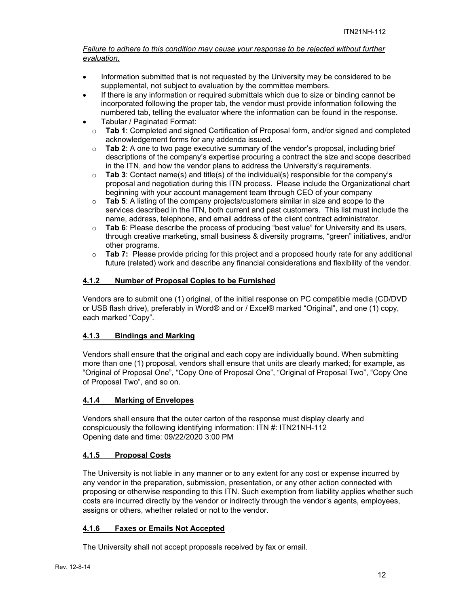# *Failure to adhere to this condition may cause your response to be rejected without further evaluation.*

- Information submitted that is not requested by the University may be considered to be supplemental, not subject to evaluation by the committee members.
- If there is any information or required submittals which due to size or binding cannot be incorporated following the proper tab, the vendor must provide information following the numbered tab, telling the evaluator where the information can be found in the response.
- Tabular / Paginated Format:
- o **Tab 1**: Completed and signed Certification of Proposal form, and/or signed and completed acknowledgement forms for any addenda issued.
- o **Tab 2**: A one to two page executive summary of the vendor's proposal, including brief descriptions of the company's expertise procuring a contract the size and scope described in the ITN, and how the vendor plans to address the University's requirements.
- o **Tab 3**: Contact name(s) and title(s) of the individual(s) responsible for the company's proposal and negotiation during this ITN process. Please include the Organizational chart beginning with your account management team through CEO of your company
- o **Tab 5**: A listing of the company projects/customers similar in size and scope to the services described in the ITN, both current and past customers. This list must include the name, address, telephone, and email address of the client contract administrator.
- o **Tab 6**: Please describe the process of producing "best value" for University and its users, through creative marketing, small business & diversity programs, "green" initiatives, and/or other programs.
- o **Tab 7:** Please provide pricing for this project and a proposed hourly rate for any additional future (related) work and describe any financial considerations and flexibility of the vendor.

# **4.1.2 Number of Proposal Copies to be Furnished**

Vendors are to submit one (1) original, of the initial response on PC compatible media (CD/DVD or USB flash drive), preferably in Word® and or / Excel® marked "Original", and one (1) copy, each marked "Copy".

# **4.1.3 Bindings and Marking**

Vendors shall ensure that the original and each copy are individually bound. When submitting more than one (1) proposal, vendors shall ensure that units are clearly marked; for example, as "Original of Proposal One", "Copy One of Proposal One", "Original of Proposal Two", "Copy One of Proposal Two", and so on.

# **4.1.4 Marking of Envelopes**

Vendors shall ensure that the outer carton of the response must display clearly and conspicuously the following identifying information: ITN #: ITN21NH-112 Opening date and time: 09/22/2020 3:00 PM

# **4.1.5 Proposal Costs**

The University is not liable in any manner or to any extent for any cost or expense incurred by any vendor in the preparation, submission, presentation, or any other action connected with proposing or otherwise responding to this ITN. Such exemption from liability applies whether such costs are incurred directly by the vendor or indirectly through the vendor's agents, employees, assigns or others, whether related or not to the vendor.

# **4.1.6 Faxes or Emails Not Accepted**

The University shall not accept proposals received by fax or email.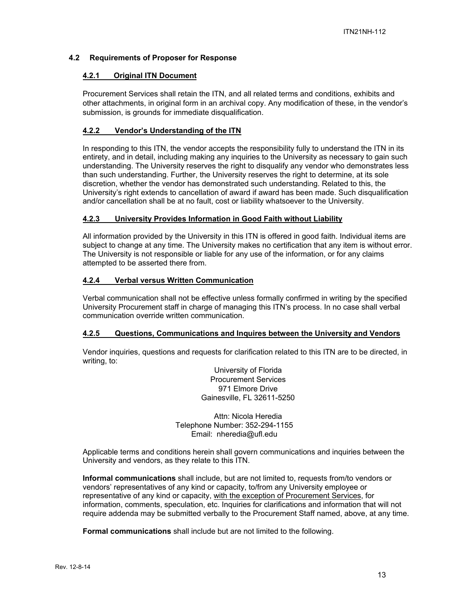# **4.2 Requirements of Proposer for Response**

# **4.2.1 Original ITN Document**

Procurement Services shall retain the ITN, and all related terms and conditions, exhibits and other attachments, in original form in an archival copy. Any modification of these, in the vendor's submission, is grounds for immediate disqualification.

# **4.2.2 Vendor's Understanding of the ITN**

In responding to this ITN, the vendor accepts the responsibility fully to understand the ITN in its entirety, and in detail, including making any inquiries to the University as necessary to gain such understanding. The University reserves the right to disqualify any vendor who demonstrates less than such understanding. Further, the University reserves the right to determine, at its sole discretion, whether the vendor has demonstrated such understanding. Related to this, the University's right extends to cancellation of award if award has been made. Such disqualification and/or cancellation shall be at no fault, cost or liability whatsoever to the University.

#### **4.2.3 University Provides Information in Good Faith without Liability**

All information provided by the University in this ITN is offered in good faith. Individual items are subject to change at any time. The University makes no certification that any item is without error. The University is not responsible or liable for any use of the information, or for any claims attempted to be asserted there from.

#### **4.2.4 Verbal versus Written Communication**

Verbal communication shall not be effective unless formally confirmed in writing by the specified University Procurement staff in charge of managing this ITN's process. In no case shall verbal communication override written communication.

#### **4.2.5 Questions, Communications and Inquires between the University and Vendors**

Vendor inquiries, questions and requests for clarification related to this ITN are to be directed, in writing, to:

> University of Florida Procurement Services 971 Elmore Drive Gainesville, FL 32611-5250

Attn: Nicola Heredia Telephone Number: 352-294-1155 Email: nheredia@ufl.edu

Applicable terms and conditions herein shall govern communications and inquiries between the University and vendors, as they relate to this ITN.

**Informal communications** shall include, but are not limited to, requests from/to vendors or vendors' representatives of any kind or capacity, to/from any University employee or representative of any kind or capacity, with the exception of Procurement Services, for information, comments, speculation, etc. Inquiries for clarifications and information that will not require addenda may be submitted verbally to the Procurement Staff named, above, at any time.

**Formal communications** shall include but are not limited to the following.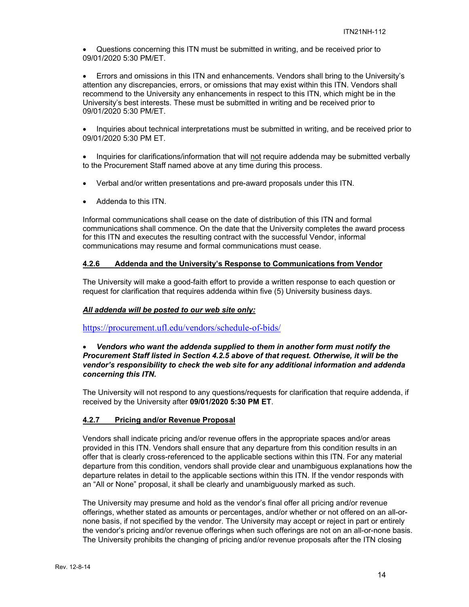Questions concerning this ITN must be submitted in writing, and be received prior to 09/01/2020 5:30 PM/ET.

 Errors and omissions in this ITN and enhancements. Vendors shall bring to the University's attention any discrepancies, errors, or omissions that may exist within this ITN. Vendors shall recommend to the University any enhancements in respect to this ITN, which might be in the University's best interests. These must be submitted in writing and be received prior to 09/01/2020 5:30 PM/ET.

• Inquiries about technical interpretations must be submitted in writing, and be received prior to 09/01/2020 5:30 PM ET.

• Inquiries for clarifications/information that will not require addenda may be submitted verbally to the Procurement Staff named above at any time during this process.

- Verbal and/or written presentations and pre-award proposals under this ITN.
- Addenda to this ITN.

Informal communications shall cease on the date of distribution of this ITN and formal communications shall commence. On the date that the University completes the award process for this ITN and executes the resulting contract with the successful Vendor, informal communications may resume and formal communications must cease.

## **4.2.6 Addenda and the University's Response to Communications from Vendor**

The University will make a good-faith effort to provide a written response to each question or request for clarification that requires addenda within five (5) University business days.

#### *All addenda will be posted to our web site only:*

https://procurement.ufl.edu/vendors/schedule-of-bids/

#### *Vendors who want the addenda supplied to them in another form must notify the Procurement Staff listed in Section 4.2.5 above of that request. Otherwise, it will be the vendor's responsibility to check the web site for any additional information and addenda concerning this ITN.*

The University will not respond to any questions/requests for clarification that require addenda, if received by the University after **09/01/2020 5:30 PM ET**.

#### **4.2.7 Pricing and/or Revenue Proposal**

Vendors shall indicate pricing and/or revenue offers in the appropriate spaces and/or areas provided in this ITN. Vendors shall ensure that any departure from this condition results in an offer that is clearly cross-referenced to the applicable sections within this ITN. For any material departure from this condition, vendors shall provide clear and unambiguous explanations how the departure relates in detail to the applicable sections within this ITN. If the vendor responds with an "All or None" proposal, it shall be clearly and unambiguously marked as such.

The University may presume and hold as the vendor's final offer all pricing and/or revenue offerings, whether stated as amounts or percentages, and/or whether or not offered on an all-ornone basis, if not specified by the vendor. The University may accept or reject in part or entirely the vendor's pricing and/or revenue offerings when such offerings are not on an all-or-none basis. The University prohibits the changing of pricing and/or revenue proposals after the ITN closing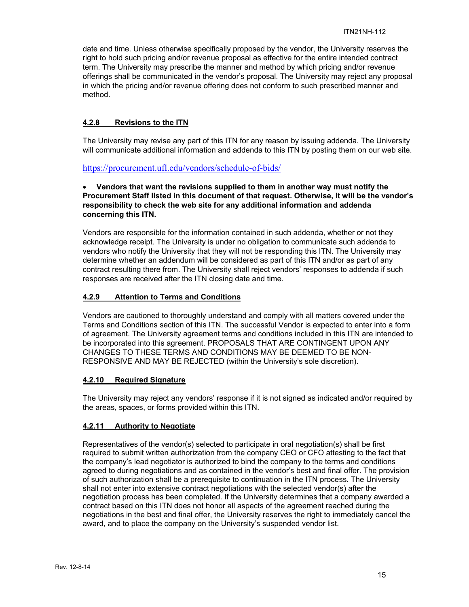date and time. Unless otherwise specifically proposed by the vendor, the University reserves the right to hold such pricing and/or revenue proposal as effective for the entire intended contract term. The University may prescribe the manner and method by which pricing and/or revenue offerings shall be communicated in the vendor's proposal. The University may reject any proposal in which the pricing and/or revenue offering does not conform to such prescribed manner and method.

# **4.2.8 Revisions to the ITN**

The University may revise any part of this ITN for any reason by issuing addenda. The University will communicate additional information and addenda to this ITN by posting them on our web site.

## https://procurement.ufl.edu/vendors/schedule-of-bids/

#### **Vendors that want the revisions supplied to them in another way must notify the Procurement Staff listed in this document of that request. Otherwise, it will be the vendor's responsibility to check the web site for any additional information and addenda concerning this ITN.**

Vendors are responsible for the information contained in such addenda, whether or not they acknowledge receipt. The University is under no obligation to communicate such addenda to vendors who notify the University that they will not be responding this ITN. The University may determine whether an addendum will be considered as part of this ITN and/or as part of any contract resulting there from. The University shall reject vendors' responses to addenda if such responses are received after the ITN closing date and time.

# **4.2.9 Attention to Terms and Conditions**

Vendors are cautioned to thoroughly understand and comply with all matters covered under the Terms and Conditions section of this ITN. The successful Vendor is expected to enter into a form of agreement. The University agreement terms and conditions included in this ITN are intended to be incorporated into this agreement. PROPOSALS THAT ARE CONTINGENT UPON ANY CHANGES TO THESE TERMS AND CONDITIONS MAY BE DEEMED TO BE NON-RESPONSIVE AND MAY BE REJECTED (within the University's sole discretion).

#### **4.2.10 Required Signature**

The University may reject any vendors' response if it is not signed as indicated and/or required by the areas, spaces, or forms provided within this ITN.

# **4.2.11 Authority to Negotiate**

Representatives of the vendor(s) selected to participate in oral negotiation(s) shall be first required to submit written authorization from the company CEO or CFO attesting to the fact that the company's lead negotiator is authorized to bind the company to the terms and conditions agreed to during negotiations and as contained in the vendor's best and final offer. The provision of such authorization shall be a prerequisite to continuation in the ITN process. The University shall not enter into extensive contract negotiations with the selected vendor(s) after the negotiation process has been completed. If the University determines that a company awarded a contract based on this ITN does not honor all aspects of the agreement reached during the negotiations in the best and final offer, the University reserves the right to immediately cancel the award, and to place the company on the University's suspended vendor list.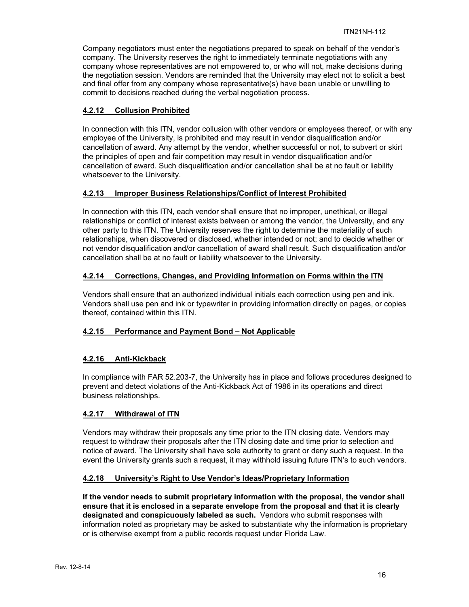Company negotiators must enter the negotiations prepared to speak on behalf of the vendor's company. The University reserves the right to immediately terminate negotiations with any company whose representatives are not empowered to, or who will not, make decisions during the negotiation session. Vendors are reminded that the University may elect not to solicit a best and final offer from any company whose representative(s) have been unable or unwilling to commit to decisions reached during the verbal negotiation process.

# **4.2.12 Collusion Prohibited**

In connection with this ITN, vendor collusion with other vendors or employees thereof, or with any employee of the University, is prohibited and may result in vendor disqualification and/or cancellation of award. Any attempt by the vendor, whether successful or not, to subvert or skirt the principles of open and fair competition may result in vendor disqualification and/or cancellation of award. Such disqualification and/or cancellation shall be at no fault or liability whatsoever to the University.

## **4.2.13 Improper Business Relationships/Conflict of Interest Prohibited**

In connection with this ITN, each vendor shall ensure that no improper, unethical, or illegal relationships or conflict of interest exists between or among the vendor, the University, and any other party to this ITN. The University reserves the right to determine the materiality of such relationships, when discovered or disclosed, whether intended or not; and to decide whether or not vendor disqualification and/or cancellation of award shall result. Such disqualification and/or cancellation shall be at no fault or liability whatsoever to the University.

# **4.2.14 Corrections, Changes, and Providing Information on Forms within the ITN**

Vendors shall ensure that an authorized individual initials each correction using pen and ink. Vendors shall use pen and ink or typewriter in providing information directly on pages, or copies thereof, contained within this ITN.

# **4.2.15 Performance and Payment Bond – Not Applicable**

# **4.2.16 Anti-Kickback**

In compliance with FAR 52.203-7, the University has in place and follows procedures designed to prevent and detect violations of the Anti-Kickback Act of 1986 in its operations and direct business relationships.

#### **4.2.17 Withdrawal of ITN**

Vendors may withdraw their proposals any time prior to the ITN closing date. Vendors may request to withdraw their proposals after the ITN closing date and time prior to selection and notice of award. The University shall have sole authority to grant or deny such a request. In the event the University grants such a request, it may withhold issuing future ITN's to such vendors.

# **4.2.18 University's Right to Use Vendor's Ideas/Proprietary Information**

**If the vendor needs to submit proprietary information with the proposal, the vendor shall ensure that it is enclosed in a separate envelope from the proposal and that it is clearly designated and conspicuously labeled as such.** Vendors who submit responses with information noted as proprietary may be asked to substantiate why the information is proprietary or is otherwise exempt from a public records request under Florida Law.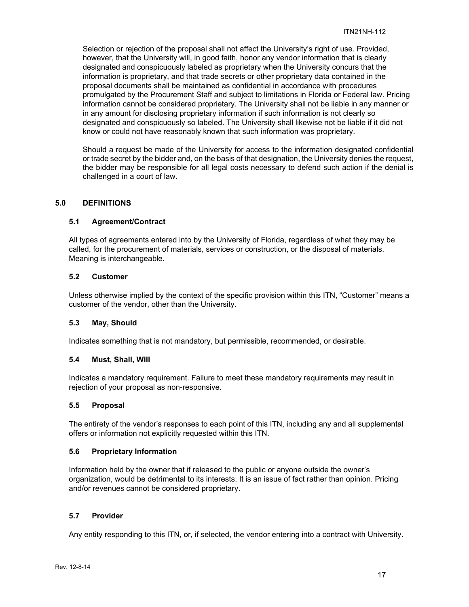Selection or rejection of the proposal shall not affect the University's right of use. Provided, however, that the University will, in good faith, honor any vendor information that is clearly designated and conspicuously labeled as proprietary when the University concurs that the information is proprietary, and that trade secrets or other proprietary data contained in the proposal documents shall be maintained as confidential in accordance with procedures promulgated by the Procurement Staff and subject to limitations in Florida or Federal law. Pricing information cannot be considered proprietary. The University shall not be liable in any manner or in any amount for disclosing proprietary information if such information is not clearly so designated and conspicuously so labeled. The University shall likewise not be liable if it did not know or could not have reasonably known that such information was proprietary.

Should a request be made of the University for access to the information designated confidential or trade secret by the bidder and, on the basis of that designation, the University denies the request, the bidder may be responsible for all legal costs necessary to defend such action if the denial is challenged in a court of law.

## **5.0 DEFINITIONS**

## **5.1 Agreement/Contract**

All types of agreements entered into by the University of Florida, regardless of what they may be called, for the procurement of materials, services or construction, or the disposal of materials. Meaning is interchangeable.

#### **5.2 Customer**

Unless otherwise implied by the context of the specific provision within this ITN, "Customer" means a customer of the vendor, other than the University.

#### **5.3 May, Should**

Indicates something that is not mandatory, but permissible, recommended, or desirable.

#### **5.4 Must, Shall, Will**

Indicates a mandatory requirement. Failure to meet these mandatory requirements may result in rejection of your proposal as non-responsive.

#### **5.5 Proposal**

The entirety of the vendor's responses to each point of this ITN, including any and all supplemental offers or information not explicitly requested within this ITN.

#### **5.6 Proprietary Information**

Information held by the owner that if released to the public or anyone outside the owner's organization, would be detrimental to its interests. It is an issue of fact rather than opinion. Pricing and/or revenues cannot be considered proprietary.

#### **5.7 Provider**

Any entity responding to this ITN, or, if selected, the vendor entering into a contract with University.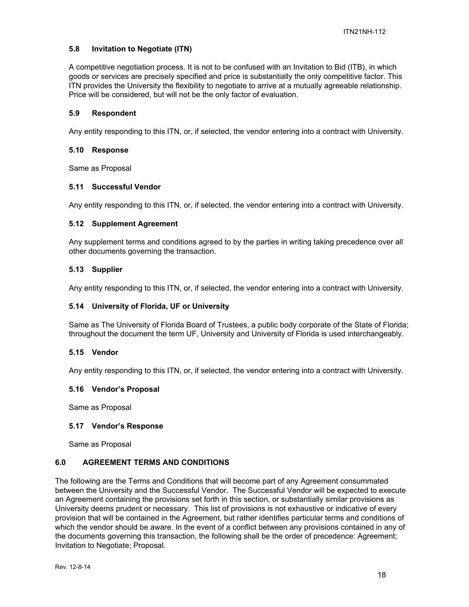# **5.8 Invitation to Negotiate (ITN)**

A competitive negotiation process. It is not to be confused with an Invitation to Bid (ITB), in which goods or services are precisely specified and price is substantially the only competitive factor. This ITN provides the University the flexibility to negotiate to arrive at a mutually agreeable relationship. Price will be considered, but will not be the only factor of evaluation.

#### **5.9 Respondent**

Any entity responding to this ITN, or, if selected, the vendor entering into a contract with University.

#### **5.10 Response**

Same as Proposal

#### **5.11 Successful Vendor**

Any entity responding to this ITN, or, if selected, the vendor entering into a contract with University.

#### **5.12 Supplement Agreement**

Any supplement terms and conditions agreed to by the parties in writing taking precedence over all other documents governing the transaction.

#### **5.13 Supplier**

Any entity responding to this ITN, or, if selected, the vendor entering into a contract with University.

#### **5.14 University of Florida, UF or University**

Same as The University of Florida Board of Trustees, a public body corporate of the State of Florida; throughout the document the term UF, University and University of Florida is used interchangeably.

#### **5.15 Vendor**

Any entity responding to this ITN, or, if selected, the vendor entering into a contract with University.

#### **5.16 Vendor's Proposal**

Same as Proposal

#### **5.17 Vendor's Response**

Same as Proposal

#### **6.0 AGREEMENT TERMS AND CONDITIONS**

The following are the Terms and Conditions that will become part of any Agreement consummated between the University and the Successful Vendor. The Successful Vendor will be expected to execute an Agreement containing the provisions set forth in this section, or substantially similar provisions as University deems prudent or necessary. This list of provisions is not exhaustive or indicative of every provision that will be contained in the Agreement, but rather identifies particular terms and conditions of which the vendor should be aware. In the event of a conflict between any provisions contained in any of the documents governing this transaction, the following shall be the order of precedence: Agreement; Invitation to Negotiate; Proposal.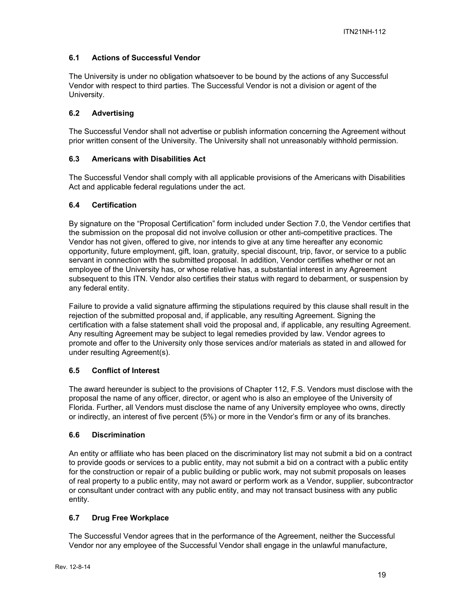# **6.1 Actions of Successful Vendor**

The University is under no obligation whatsoever to be bound by the actions of any Successful Vendor with respect to third parties. The Successful Vendor is not a division or agent of the University.

# **6.2 Advertising**

The Successful Vendor shall not advertise or publish information concerning the Agreement without prior written consent of the University. The University shall not unreasonably withhold permission.

# **6.3 Americans with Disabilities Act**

The Successful Vendor shall comply with all applicable provisions of the Americans with Disabilities Act and applicable federal regulations under the act.

# **6.4 Certification**

By signature on the "Proposal Certification" form included under Section 7.0, the Vendor certifies that the submission on the proposal did not involve collusion or other anti-competitive practices. The Vendor has not given, offered to give, nor intends to give at any time hereafter any economic opportunity, future employment, gift, loan, gratuity, special discount, trip, favor, or service to a public servant in connection with the submitted proposal. In addition, Vendor certifies whether or not an employee of the University has, or whose relative has, a substantial interest in any Agreement subsequent to this ITN. Vendor also certifies their status with regard to debarment, or suspension by any federal entity.

Failure to provide a valid signature affirming the stipulations required by this clause shall result in the rejection of the submitted proposal and, if applicable, any resulting Agreement. Signing the certification with a false statement shall void the proposal and, if applicable, any resulting Agreement. Any resulting Agreement may be subject to legal remedies provided by law. Vendor agrees to promote and offer to the University only those services and/or materials as stated in and allowed for under resulting Agreement(s).

# **6.5 Conflict of Interest**

The award hereunder is subject to the provisions of Chapter 112, F.S. Vendors must disclose with the proposal the name of any officer, director, or agent who is also an employee of the University of Florida. Further, all Vendors must disclose the name of any University employee who owns, directly or indirectly, an interest of five percent (5%) or more in the Vendor's firm or any of its branches.

# **6.6 Discrimination**

An entity or affiliate who has been placed on the discriminatory list may not submit a bid on a contract to provide goods or services to a public entity, may not submit a bid on a contract with a public entity for the construction or repair of a public building or public work, may not submit proposals on leases of real property to a public entity, may not award or perform work as a Vendor, supplier, subcontractor or consultant under contract with any public entity, and may not transact business with any public entity.

# **6.7 Drug Free Workplace**

The Successful Vendor agrees that in the performance of the Agreement, neither the Successful Vendor nor any employee of the Successful Vendor shall engage in the unlawful manufacture,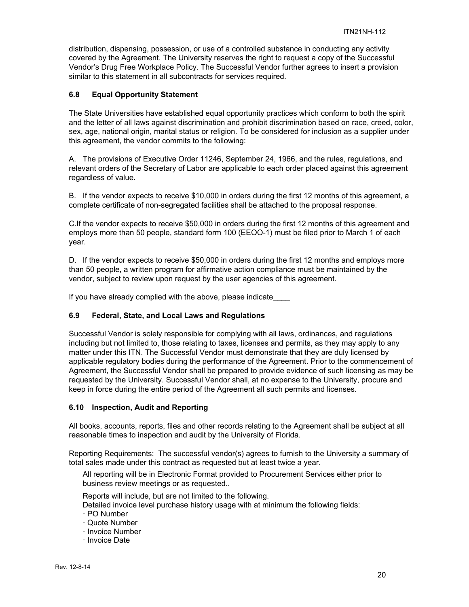distribution, dispensing, possession, or use of a controlled substance in conducting any activity covered by the Agreement. The University reserves the right to request a copy of the Successful Vendor's Drug Free Workplace Policy. The Successful Vendor further agrees to insert a provision similar to this statement in all subcontracts for services required.

# **6.8 Equal Opportunity Statement**

The State Universities have established equal opportunity practices which conform to both the spirit and the letter of all laws against discrimination and prohibit discrimination based on race, creed, color, sex, age, national origin, marital status or religion. To be considered for inclusion as a supplier under this agreement, the vendor commits to the following:

A. The provisions of Executive Order 11246, September 24, 1966, and the rules, regulations, and relevant orders of the Secretary of Labor are applicable to each order placed against this agreement regardless of value.

B. If the vendor expects to receive \$10,000 in orders during the first 12 months of this agreement, a complete certificate of non-segregated facilities shall be attached to the proposal response.

C.If the vendor expects to receive \$50,000 in orders during the first 12 months of this agreement and employs more than 50 people, standard form 100 (EEOO-1) must be filed prior to March 1 of each year.

D. If the vendor expects to receive \$50,000 in orders during the first 12 months and employs more than 50 people, a written program for affirmative action compliance must be maintained by the vendor, subject to review upon request by the user agencies of this agreement.

If you have already complied with the above, please indicate

#### **6.9 Federal, State, and Local Laws and Regulations**

Successful Vendor is solely responsible for complying with all laws, ordinances, and regulations including but not limited to, those relating to taxes, licenses and permits, as they may apply to any matter under this ITN. The Successful Vendor must demonstrate that they are duly licensed by applicable regulatory bodies during the performance of the Agreement. Prior to the commencement of Agreement, the Successful Vendor shall be prepared to provide evidence of such licensing as may be requested by the University. Successful Vendor shall, at no expense to the University, procure and keep in force during the entire period of the Agreement all such permits and licenses.

#### **6.10 Inspection, Audit and Reporting**

All books, accounts, reports, files and other records relating to the Agreement shall be subject at all reasonable times to inspection and audit by the University of Florida.

Reporting Requirements: The successful vendor(s) agrees to furnish to the University a summary of total sales made under this contract as requested but at least twice a year.

All reporting will be in Electronic Format provided to Procurement Services either prior to business review meetings or as requested..

Reports will include, but are not limited to the following.

- Detailed invoice level purchase history usage with at minimum the following fields:
- ꞏ PO Number
- ꞏ Quote Number
- ꞏ Invoice Number
- ꞏ Invoice Date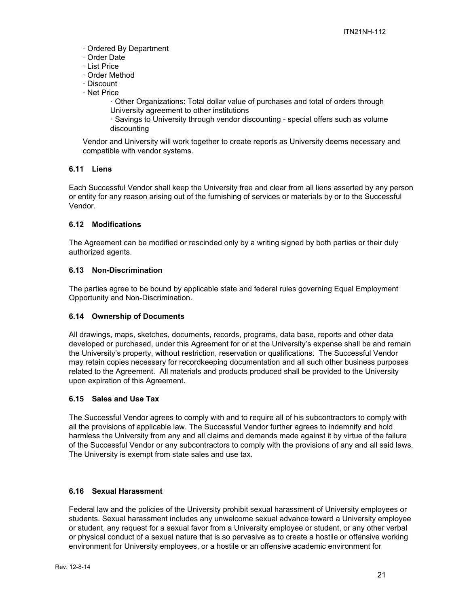- ꞏ Ordered By Department
- ꞏ Order Date
- ꞏ List Price
- ꞏ Order Method
- ꞏ Discount
- ꞏ Net Price
	- ꞏ Other Organizations: Total dollar value of purchases and total of orders through University agreement to other institutions
	- ꞏ Savings to University through vendor discounting special offers such as volume discounting

Vendor and University will work together to create reports as University deems necessary and compatible with vendor systems.

# **6.11 Liens**

Each Successful Vendor shall keep the University free and clear from all liens asserted by any person or entity for any reason arising out of the furnishing of services or materials by or to the Successful Vendor.

# **6.12 Modifications**

The Agreement can be modified or rescinded only by a writing signed by both parties or their duly authorized agents.

# **6.13 Non-Discrimination**

The parties agree to be bound by applicable state and federal rules governing Equal Employment Opportunity and Non-Discrimination.

# **6.14 Ownership of Documents**

All drawings, maps, sketches, documents, records, programs, data base, reports and other data developed or purchased, under this Agreement for or at the University's expense shall be and remain the University's property, without restriction, reservation or qualifications. The Successful Vendor may retain copies necessary for recordkeeping documentation and all such other business purposes related to the Agreement. All materials and products produced shall be provided to the University upon expiration of this Agreement.

# **6.15 Sales and Use Tax**

The Successful Vendor agrees to comply with and to require all of his subcontractors to comply with all the provisions of applicable law. The Successful Vendor further agrees to indemnify and hold harmless the University from any and all claims and demands made against it by virtue of the failure of the Successful Vendor or any subcontractors to comply with the provisions of any and all said laws. The University is exempt from state sales and use tax.

# **6.16 Sexual Harassment**

Federal law and the policies of the University prohibit sexual harassment of University employees or students. Sexual harassment includes any unwelcome sexual advance toward a University employee or student, any request for a sexual favor from a University employee or student, or any other verbal or physical conduct of a sexual nature that is so pervasive as to create a hostile or offensive working environment for University employees, or a hostile or an offensive academic environment for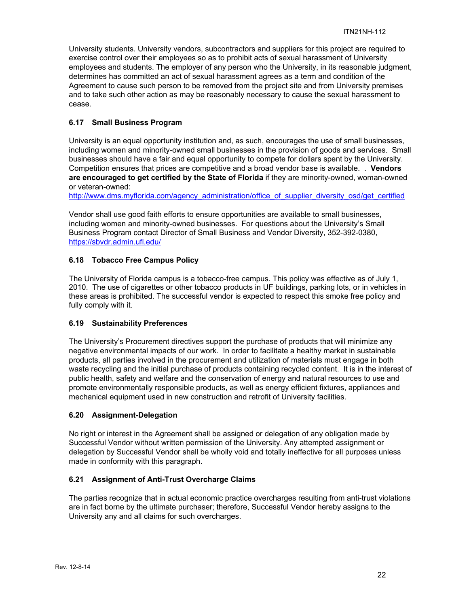University students. University vendors, subcontractors and suppliers for this project are required to exercise control over their employees so as to prohibit acts of sexual harassment of University employees and students. The employer of any person who the University, in its reasonable judgment, determines has committed an act of sexual harassment agrees as a term and condition of the Agreement to cause such person to be removed from the project site and from University premises and to take such other action as may be reasonably necessary to cause the sexual harassment to cease.

# **6.17 Small Business Program**

University is an equal opportunity institution and, as such, encourages the use of small businesses, including women and minority-owned small businesses in the provision of goods and services. Small businesses should have a fair and equal opportunity to compete for dollars spent by the University. Competition ensures that prices are competitive and a broad vendor base is available. . **Vendors are encouraged to get certified by the State of Florida** if they are minority-owned, woman-owned or veteran-owned:

http://www.dms.myflorida.com/agency\_administration/office\_of\_supplier\_diversity\_osd/get\_certified

Vendor shall use good faith efforts to ensure opportunities are available to small businesses, including women and minority-owned businesses. For questions about the University's Small Business Program contact Director of Small Business and Vendor Diversity, 352-392-0380, https://sbvdr.admin.ufl.edu/

# **6.18 Tobacco Free Campus Policy**

The University of Florida campus is a tobacco-free campus. This policy was effective as of July 1, 2010. The use of cigarettes or other tobacco products in UF buildings, parking lots, or in vehicles in these areas is prohibited. The successful vendor is expected to respect this smoke free policy and fully comply with it.

# **6.19 Sustainability Preferences**

The University's Procurement directives support the purchase of products that will minimize any negative environmental impacts of our work. In order to facilitate a healthy market in sustainable products, all parties involved in the procurement and utilization of materials must engage in both waste recycling and the initial purchase of products containing recycled content. It is in the interest of public health, safety and welfare and the conservation of energy and natural resources to use and promote environmentally responsible products, as well as energy efficient fixtures, appliances and mechanical equipment used in new construction and retrofit of University facilities.

# **6.20 Assignment-Delegation**

No right or interest in the Agreement shall be assigned or delegation of any obligation made by Successful Vendor without written permission of the University. Any attempted assignment or delegation by Successful Vendor shall be wholly void and totally ineffective for all purposes unless made in conformity with this paragraph.

# **6.21 Assignment of Anti-Trust Overcharge Claims**

The parties recognize that in actual economic practice overcharges resulting from anti-trust violations are in fact borne by the ultimate purchaser; therefore, Successful Vendor hereby assigns to the University any and all claims for such overcharges.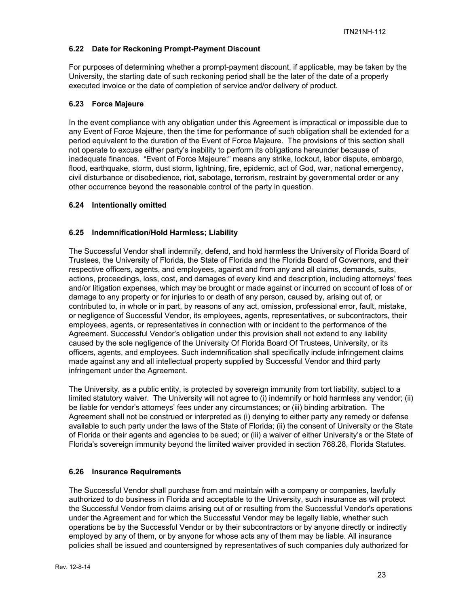# **6.22 Date for Reckoning Prompt-Payment Discount**

For purposes of determining whether a prompt-payment discount, if applicable, may be taken by the University, the starting date of such reckoning period shall be the later of the date of a properly executed invoice or the date of completion of service and/or delivery of product.

# **6.23 Force Majeure**

In the event compliance with any obligation under this Agreement is impractical or impossible due to any Event of Force Majeure, then the time for performance of such obligation shall be extended for a period equivalent to the duration of the Event of Force Majeure. The provisions of this section shall not operate to excuse either party's inability to perform its obligations hereunder because of inadequate finances. "Event of Force Majeure:" means any strike, lockout, labor dispute, embargo, flood, earthquake, storm, dust storm, lightning, fire, epidemic, act of God, war, national emergency, civil disturbance or disobedience, riot, sabotage, terrorism, restraint by governmental order or any other occurrence beyond the reasonable control of the party in question.

## **6.24 Intentionally omitted**

# **6.25 Indemnification/Hold Harmless; Liability**

The Successful Vendor shall indemnify, defend, and hold harmless the University of Florida Board of Trustees, the University of Florida, the State of Florida and the Florida Board of Governors, and their respective officers, agents, and employees, against and from any and all claims, demands, suits, actions, proceedings, loss, cost, and damages of every kind and description, including attorneys' fees and/or litigation expenses, which may be brought or made against or incurred on account of loss of or damage to any property or for injuries to or death of any person, caused by, arising out of, or contributed to, in whole or in part, by reasons of any act, omission, professional error, fault, mistake, or negligence of Successful Vendor, its employees, agents, representatives, or subcontractors, their employees, agents, or representatives in connection with or incident to the performance of the Agreement. Successful Vendor's obligation under this provision shall not extend to any liability caused by the sole negligence of the University Of Florida Board Of Trustees, University, or its officers, agents, and employees. Such indemnification shall specifically include infringement claims made against any and all intellectual property supplied by Successful Vendor and third party infringement under the Agreement.

The University, as a public entity, is protected by sovereign immunity from tort liability, subject to a limited statutory waiver. The University will not agree to (i) indemnify or hold harmless any vendor; (ii) be liable for vendor's attorneys' fees under any circumstances; or (iii) binding arbitration. The Agreement shall not be construed or interpreted as (i) denying to either party any remedy or defense available to such party under the laws of the State of Florida; (ii) the consent of University or the State of Florida or their agents and agencies to be sued; or (iii) a waiver of either University's or the State of Florida's sovereign immunity beyond the limited waiver provided in section 768.28, Florida Statutes.

# **6.26 Insurance Requirements**

The Successful Vendor shall purchase from and maintain with a company or companies, lawfully authorized to do business in Florida and acceptable to the University, such insurance as will protect the Successful Vendor from claims arising out of or resulting from the Successful Vendor's operations under the Agreement and for which the Successful Vendor may be legally liable, whether such operations be by the Successful Vendor or by their subcontractors or by anyone directly or indirectly employed by any of them, or by anyone for whose acts any of them may be liable. All insurance policies shall be issued and countersigned by representatives of such companies duly authorized for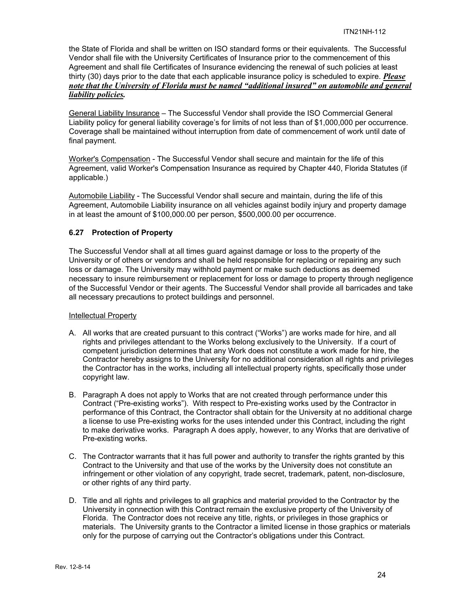the State of Florida and shall be written on ISO standard forms or their equivalents. The Successful Vendor shall file with the University Certificates of Insurance prior to the commencement of this Agreement and shall file Certificates of Insurance evidencing the renewal of such policies at least thirty (30) days prior to the date that each applicable insurance policy is scheduled to expire. *Please note that the University of Florida must be named "additional insured" on automobile and general liability policies.*

General Liability Insurance – The Successful Vendor shall provide the ISO Commercial General Liability policy for general liability coverage's for limits of not less than of \$1,000,000 per occurrence. Coverage shall be maintained without interruption from date of commencement of work until date of final payment.

Worker's Compensation - The Successful Vendor shall secure and maintain for the life of this Agreement, valid Worker's Compensation Insurance as required by Chapter 440, Florida Statutes (if applicable.)

Automobile Liability - The Successful Vendor shall secure and maintain, during the life of this Agreement, Automobile Liability insurance on all vehicles against bodily injury and property damage in at least the amount of \$100,000.00 per person, \$500,000.00 per occurrence.

## **6.27 Protection of Property**

The Successful Vendor shall at all times guard against damage or loss to the property of the University or of others or vendors and shall be held responsible for replacing or repairing any such loss or damage. The University may withhold payment or make such deductions as deemed necessary to insure reimbursement or replacement for loss or damage to property through negligence of the Successful Vendor or their agents. The Successful Vendor shall provide all barricades and take all necessary precautions to protect buildings and personnel.

#### Intellectual Property

- A. All works that are created pursuant to this contract ("Works") are works made for hire, and all rights and privileges attendant to the Works belong exclusively to the University. If a court of competent jurisdiction determines that any Work does not constitute a work made for hire, the Contractor hereby assigns to the University for no additional consideration all rights and privileges the Contractor has in the works, including all intellectual property rights, specifically those under copyright law.
- B. Paragraph A does not apply to Works that are not created through performance under this Contract ("Pre-existing works"). With respect to Pre-existing works used by the Contractor in performance of this Contract, the Contractor shall obtain for the University at no additional charge a license to use Pre-existing works for the uses intended under this Contract, including the right to make derivative works. Paragraph A does apply, however, to any Works that are derivative of Pre-existing works.
- C. The Contractor warrants that it has full power and authority to transfer the rights granted by this Contract to the University and that use of the works by the University does not constitute an infringement or other violation of any copyright, trade secret, trademark, patent, non-disclosure, or other rights of any third party.
- D. Title and all rights and privileges to all graphics and material provided to the Contractor by the University in connection with this Contract remain the exclusive property of the University of Florida. The Contractor does not receive any title, rights, or privileges in those graphics or materials. The University grants to the Contractor a limited license in those graphics or materials only for the purpose of carrying out the Contractor's obligations under this Contract.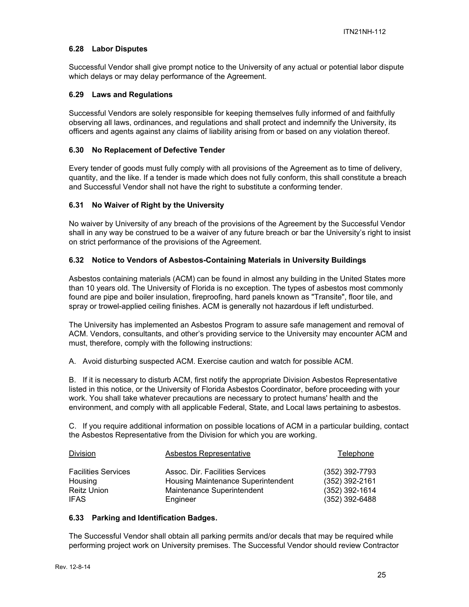## **6.28 Labor Disputes**

Successful Vendor shall give prompt notice to the University of any actual or potential labor dispute which delays or may delay performance of the Agreement.

#### **6.29 Laws and Regulations**

Successful Vendors are solely responsible for keeping themselves fully informed of and faithfully observing all laws, ordinances, and regulations and shall protect and indemnify the University, its officers and agents against any claims of liability arising from or based on any violation thereof.

#### **6.30 No Replacement of Defective Tender**

Every tender of goods must fully comply with all provisions of the Agreement as to time of delivery, quantity, and the like. If a tender is made which does not fully conform, this shall constitute a breach and Successful Vendor shall not have the right to substitute a conforming tender.

## **6.31 No Waiver of Right by the University**

No waiver by University of any breach of the provisions of the Agreement by the Successful Vendor shall in any way be construed to be a waiver of any future breach or bar the University's right to insist on strict performance of the provisions of the Agreement.

## **6.32 Notice to Vendors of Asbestos-Containing Materials in University Buildings**

Asbestos containing materials (ACM) can be found in almost any building in the United States more than 10 years old. The University of Florida is no exception. The types of asbestos most commonly found are pipe and boiler insulation, fireproofing, hard panels known as "Transite", floor tile, and spray or trowel-applied ceiling finishes. ACM is generally not hazardous if left undisturbed.

The University has implemented an Asbestos Program to assure safe management and removal of ACM. Vendors, consultants, and other's providing service to the University may encounter ACM and must, therefore, comply with the following instructions:

A. Avoid disturbing suspected ACM. Exercise caution and watch for possible ACM.

B. If it is necessary to disturb ACM, first notify the appropriate Division Asbestos Representative listed in this notice, or the University of Florida Asbestos Coordinator, before proceeding with your work. You shall take whatever precautions are necessary to protect humans' health and the environment, and comply with all applicable Federal, State, and Local laws pertaining to asbestos.

C. If you require additional information on possible locations of ACM in a particular building, contact the Asbestos Representative from the Division for which you are working.

| Division                                                     | Asbestos Representative                                                                                         | Telephone                                                                |
|--------------------------------------------------------------|-----------------------------------------------------------------------------------------------------------------|--------------------------------------------------------------------------|
| <b>Facilities Services</b><br>Housing<br>Reitz Union<br>IFAS | Assoc. Dir. Facilities Services<br>Housing Maintenance Superintendent<br>Maintenance Superintendent<br>Engineer | (352) 392-7793<br>$(352)$ 392-2161<br>(352) 392-1614<br>$(352)$ 392-6488 |
|                                                              |                                                                                                                 |                                                                          |

#### **6.33 Parking and Identification Badges.**

The Successful Vendor shall obtain all parking permits and/or decals that may be required while performing project work on University premises. The Successful Vendor should review Contractor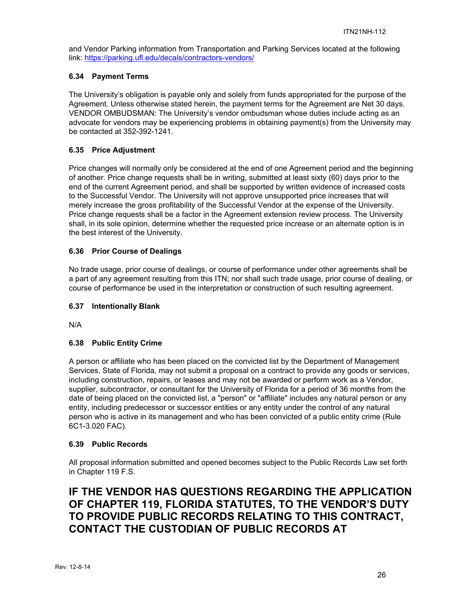and Vendor Parking information from Transportation and Parking Services located at the following link: https://parking.ufl.edu/decals/contractors-vendors/

# **6.34 Payment Terms**

The University's obligation is payable only and solely from funds appropriated for the purpose of the Agreement. Unless otherwise stated herein, the payment terms for the Agreement are Net 30 days. VENDOR OMBUDSMAN: The University's vendor ombudsman whose duties include acting as an advocate for vendors may be experiencing problems in obtaining payment(s) from the University may be contacted at 352-392-1241.

# **6.35 Price Adjustment**

Price changes will normally only be considered at the end of one Agreement period and the beginning of another. Price change requests shall be in writing, submitted at least sixty (60) days prior to the end of the current Agreement period, and shall be supported by written evidence of increased costs to the Successful Vendor. The University will not approve unsupported price increases that will merely increase the gross profitability of the Successful Vendor at the expense of the University. Price change requests shall be a factor in the Agreement extension review process. The University shall, in its sole opinion, determine whether the requested price increase or an alternate option is in the best interest of the University.

## **6.36 Prior Course of Dealings**

No trade usage, prior course of dealings, or course of performance under other agreements shall be a part of any agreement resulting from this ITN; nor shall such trade usage, prior course of dealing, or course of performance be used in the interpretation or construction of such resulting agreement.

#### **6.37 Intentionally Blank**

N/A

# **6.38 Public Entity Crime**

A person or affiliate who has been placed on the convicted list by the Department of Management Services, State of Florida, may not submit a proposal on a contract to provide any goods or services, including construction, repairs, or leases and may not be awarded or perform work as a Vendor, supplier, subcontractor, or consultant for the University of Florida for a period of 36 months from the date of being placed on the convicted list, a "person" or "affiliate" includes any natural person or any entity, including predecessor or successor entities or any entity under the control of any natural person who is active in its management and who has been convicted of a public entity crime (Rule 6C1-3.020 FAC).

#### **6.39 Public Records**

All proposal information submitted and opened becomes subject to the Public Records Law set forth in Chapter 119 F.S.

# **IF THE VENDOR HAS QUESTIONS REGARDING THE APPLICATION OF CHAPTER 119, FLORIDA STATUTES, TO THE VENDOR'S DUTY TO PROVIDE PUBLIC RECORDS RELATING TO THIS CONTRACT, CONTACT THE CUSTODIAN OF PUBLIC RECORDS AT**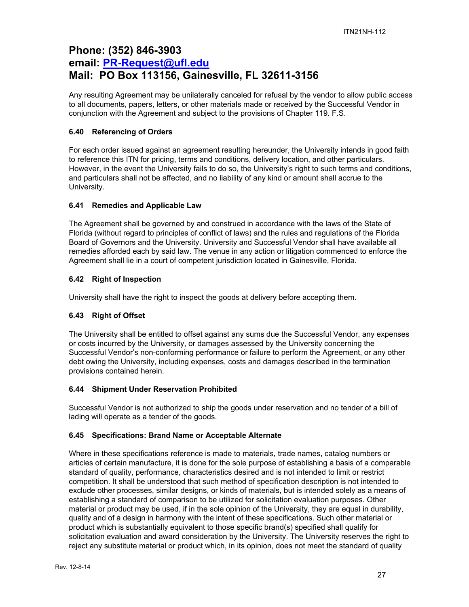# **Phone: (352) 846-3903 email: PR-Request@ufl.edu Mail: PO Box 113156, Gainesville, FL 32611-3156**

Any resulting Agreement may be unilaterally canceled for refusal by the vendor to allow public access to all documents, papers, letters, or other materials made or received by the Successful Vendor in conjunction with the Agreement and subject to the provisions of Chapter 119. F.S.

# **6.40 Referencing of Orders**

For each order issued against an agreement resulting hereunder, the University intends in good faith to reference this ITN for pricing, terms and conditions, delivery location, and other particulars. However, in the event the University fails to do so, the University's right to such terms and conditions, and particulars shall not be affected, and no liability of any kind or amount shall accrue to the University.

# **6.41 Remedies and Applicable Law**

The Agreement shall be governed by and construed in accordance with the laws of the State of Florida (without regard to principles of conflict of laws) and the rules and regulations of the Florida Board of Governors and the University. University and Successful Vendor shall have available all remedies afforded each by said law. The venue in any action or litigation commenced to enforce the Agreement shall lie in a court of competent jurisdiction located in Gainesville, Florida.

# **6.42 Right of Inspection**

University shall have the right to inspect the goods at delivery before accepting them.

# **6.43 Right of Offset**

The University shall be entitled to offset against any sums due the Successful Vendor, any expenses or costs incurred by the University, or damages assessed by the University concerning the Successful Vendor's non-conforming performance or failure to perform the Agreement, or any other debt owing the University, including expenses, costs and damages described in the termination provisions contained herein.

# **6.44 Shipment Under Reservation Prohibited**

Successful Vendor is not authorized to ship the goods under reservation and no tender of a bill of lading will operate as a tender of the goods.

# **6.45 Specifications: Brand Name or Acceptable Alternate**

Where in these specifications reference is made to materials, trade names, catalog numbers or articles of certain manufacture, it is done for the sole purpose of establishing a basis of a comparable standard of quality, performance, characteristics desired and is not intended to limit or restrict competition. It shall be understood that such method of specification description is not intended to exclude other processes, similar designs, or kinds of materials, but is intended solely as a means of establishing a standard of comparison to be utilized for solicitation evaluation purposes. Other material or product may be used, if in the sole opinion of the University, they are equal in durability, quality and of a design in harmony with the intent of these specifications. Such other material or product which is substantially equivalent to those specific brand(s) specified shall qualify for solicitation evaluation and award consideration by the University. The University reserves the right to reject any substitute material or product which, in its opinion, does not meet the standard of quality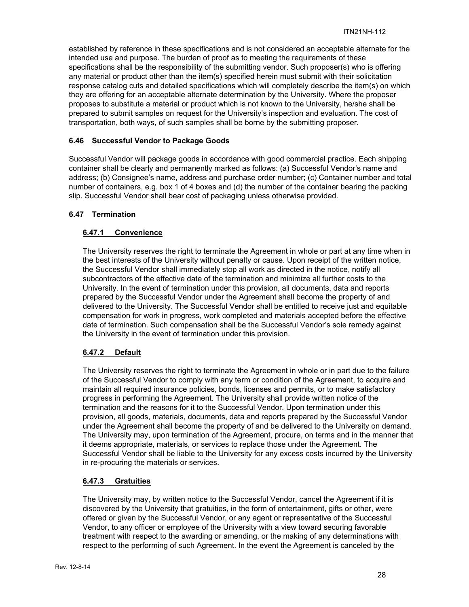established by reference in these specifications and is not considered an acceptable alternate for the intended use and purpose. The burden of proof as to meeting the requirements of these specifications shall be the responsibility of the submitting vendor. Such proposer(s) who is offering any material or product other than the item(s) specified herein must submit with their solicitation response catalog cuts and detailed specifications which will completely describe the item(s) on which they are offering for an acceptable alternate determination by the University. Where the proposer proposes to substitute a material or product which is not known to the University, he/she shall be prepared to submit samples on request for the University's inspection and evaluation. The cost of transportation, both ways, of such samples shall be borne by the submitting proposer.

# **6.46 Successful Vendor to Package Goods**

Successful Vendor will package goods in accordance with good commercial practice. Each shipping container shall be clearly and permanently marked as follows: (a) Successful Vendor's name and address; (b) Consignee's name, address and purchase order number; (c) Container number and total number of containers, e.g. box 1 of 4 boxes and (d) the number of the container bearing the packing slip. Successful Vendor shall bear cost of packaging unless otherwise provided.

## **6.47 Termination**

## **6.47.1 Convenience**

The University reserves the right to terminate the Agreement in whole or part at any time when in the best interests of the University without penalty or cause. Upon receipt of the written notice, the Successful Vendor shall immediately stop all work as directed in the notice, notify all subcontractors of the effective date of the termination and minimize all further costs to the University. In the event of termination under this provision, all documents, data and reports prepared by the Successful Vendor under the Agreement shall become the property of and delivered to the University. The Successful Vendor shall be entitled to receive just and equitable compensation for work in progress, work completed and materials accepted before the effective date of termination. Such compensation shall be the Successful Vendor's sole remedy against the University in the event of termination under this provision.

# **6.47.2 Default**

The University reserves the right to terminate the Agreement in whole or in part due to the failure of the Successful Vendor to comply with any term or condition of the Agreement, to acquire and maintain all required insurance policies, bonds, licenses and permits, or to make satisfactory progress in performing the Agreement. The University shall provide written notice of the termination and the reasons for it to the Successful Vendor. Upon termination under this provision, all goods, materials, documents, data and reports prepared by the Successful Vendor under the Agreement shall become the property of and be delivered to the University on demand. The University may, upon termination of the Agreement, procure, on terms and in the manner that it deems appropriate, materials, or services to replace those under the Agreement. The Successful Vendor shall be liable to the University for any excess costs incurred by the University in re-procuring the materials or services.

#### **6.47.3 Gratuities**

The University may, by written notice to the Successful Vendor, cancel the Agreement if it is discovered by the University that gratuities, in the form of entertainment, gifts or other, were offered or given by the Successful Vendor, or any agent or representative of the Successful Vendor, to any officer or employee of the University with a view toward securing favorable treatment with respect to the awarding or amending, or the making of any determinations with respect to the performing of such Agreement. In the event the Agreement is canceled by the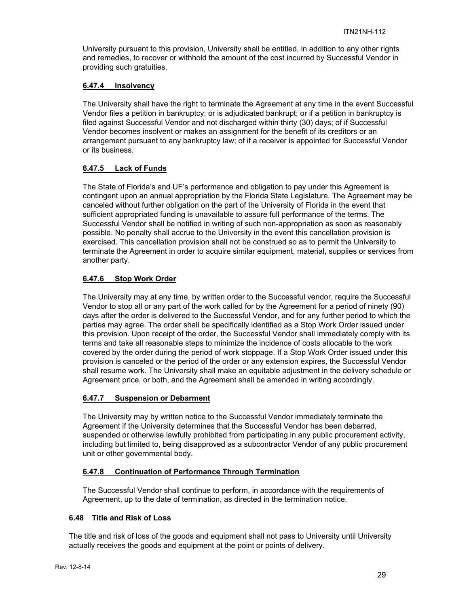University pursuant to this provision, University shall be entitled, in addition to any other rights and remedies, to recover or withhold the amount of the cost incurred by Successful Vendor in providing such gratuities.

# **6.47.4 Insolvency**

The University shall have the right to terminate the Agreement at any time in the event Successful Vendor files a petition in bankruptcy; or is adjudicated bankrupt; or if a petition in bankruptcy is filed against Successful Vendor and not discharged within thirty (30) days; of if Successful Vendor becomes insolvent or makes an assignment for the benefit of its creditors or an arrangement pursuant to any bankruptcy law; of if a receiver is appointed for Successful Vendor or its business.

# **6.47.5 Lack of Funds**

The State of Florida's and UF's performance and obligation to pay under this Agreement is contingent upon an annual appropriation by the Florida State Legislature. The Agreement may be canceled without further obligation on the part of the University of Florida in the event that sufficient appropriated funding is unavailable to assure full performance of the terms. The Successful Vendor shall be notified in writing of such non-appropriation as soon as reasonably possible. No penalty shall accrue to the University in the event this cancellation provision is exercised. This cancellation provision shall not be construed so as to permit the University to terminate the Agreement in order to acquire similar equipment, material, supplies or services from another party.

## **6.47.6 Stop Work Order**

The University may at any time, by written order to the Successful vendor, require the Successful Vendor to stop all or any part of the work called for by the Agreement for a period of ninety (90) days after the order is delivered to the Successful Vendor, and for any further period to which the parties may agree. The order shall be specifically identified as a Stop Work Order issued under this provision. Upon receipt of the order, the Successful Vendor shall immediately comply with its terms and take all reasonable steps to minimize the incidence of costs allocable to the work covered by the order during the period of work stoppage. If a Stop Work Order issued under this provision is canceled or the period of the order or any extension expires, the Successful Vendor shall resume work. The University shall make an equitable adjustment in the delivery schedule or Agreement price, or both, and the Agreement shall be amended in writing accordingly.

# **6.47.7 Suspension or Debarment**

The University may by written notice to the Successful Vendor immediately terminate the Agreement if the University determines that the Successful Vendor has been debarred, suspended or otherwise lawfully prohibited from participating in any public procurement activity, including but limited to, being disapproved as a subcontractor Vendor of any public procurement unit or other governmental body.

# **6.47.8 Continuation of Performance Through Termination**

The Successful Vendor shall continue to perform, in accordance with the requirements of Agreement, up to the date of termination, as directed in the termination notice.

#### **6.48 Title and Risk of Loss**

The title and risk of loss of the goods and equipment shall not pass to University until University actually receives the goods and equipment at the point or points of delivery.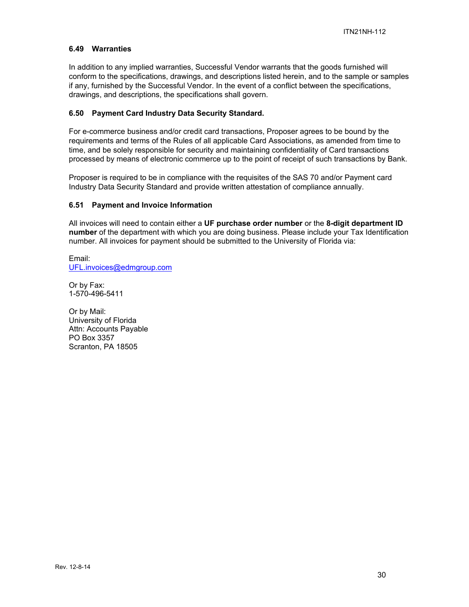#### **6.49 Warranties**

In addition to any implied warranties, Successful Vendor warrants that the goods furnished will conform to the specifications, drawings, and descriptions listed herein, and to the sample or samples if any, furnished by the Successful Vendor. In the event of a conflict between the specifications, drawings, and descriptions, the specifications shall govern.

# **6.50 Payment Card Industry Data Security Standard.**

For e-commerce business and/or credit card transactions, Proposer agrees to be bound by the requirements and terms of the Rules of all applicable Card Associations, as amended from time to time, and be solely responsible for security and maintaining confidentiality of Card transactions processed by means of electronic commerce up to the point of receipt of such transactions by Bank.

Proposer is required to be in compliance with the requisites of the SAS 70 and/or Payment card Industry Data Security Standard and provide written attestation of compliance annually.

#### **6.51 Payment and Invoice Information**

All invoices will need to contain either a **UF purchase order number** or the **8-digit department ID number** of the department with which you are doing business. Please include your Tax Identification number. All invoices for payment should be submitted to the University of Florida via:

Email: UFL.invoices@edmgroup.com

Or by Fax: 1-570-496-5411

Or by Mail: University of Florida Attn: Accounts Payable PO Box 3357 Scranton, PA 18505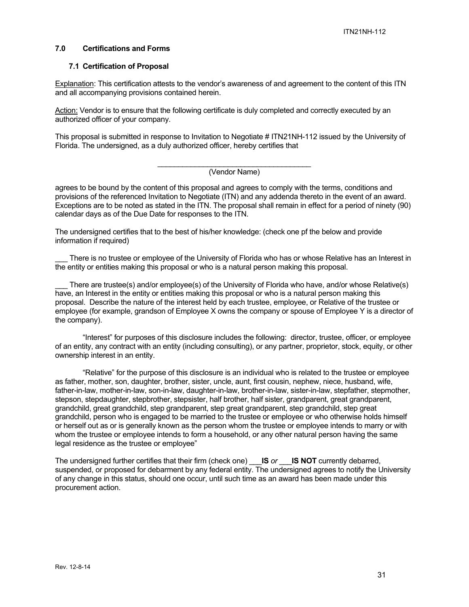#### **7.0 Certifications and Forms**

#### **7.1 Certification of Proposal**

Explanation: This certification attests to the vendor's awareness of and agreement to the content of this ITN and all accompanying provisions contained herein.

Action: Vendor is to ensure that the following certificate is duly completed and correctly executed by an authorized officer of your company.

This proposal is submitted in response to Invitation to Negotiate # ITN21NH-112 issued by the University of Florida. The undersigned, as a duly authorized officer, hereby certifies that

#### (Vendor Name)

agrees to be bound by the content of this proposal and agrees to comply with the terms, conditions and provisions of the referenced Invitation to Negotiate (ITN) and any addenda thereto in the event of an award. Exceptions are to be noted as stated in the ITN. The proposal shall remain in effect for a period of ninety (90) calendar days as of the Due Date for responses to the ITN.

The undersigned certifies that to the best of his/her knowledge: (check one pf the below and provide information if required)

There is no trustee or employee of the University of Florida who has or whose Relative has an Interest in the entity or entities making this proposal or who is a natural person making this proposal.

There are trustee(s) and/or employee(s) of the University of Florida who have, and/or whose Relative(s) have, an Interest in the entity or entities making this proposal or who is a natural person making this proposal. Describe the nature of the interest held by each trustee, employee, or Relative of the trustee or employee (for example, grandson of Employee X owns the company or spouse of Employee Y is a director of the company).

"Interest" for purposes of this disclosure includes the following: director, trustee, officer, or employee of an entity, any contract with an entity (including consulting), or any partner, proprietor, stock, equity, or other ownership interest in an entity.

"Relative" for the purpose of this disclosure is an individual who is related to the trustee or employee as father, mother, son, daughter, brother, sister, uncle, aunt, first cousin, nephew, niece, husband, wife, father-in-law, mother-in-law, son-in-law, daughter-in-law, brother-in-law, sister-in-law, stepfather, stepmother, stepson, stepdaughter, stepbrother, stepsister, half brother, half sister, grandparent, great grandparent, grandchild, great grandchild, step grandparent, step great grandparent, step grandchild, step great grandchild, person who is engaged to be married to the trustee or employee or who otherwise holds himself or herself out as or is generally known as the person whom the trustee or employee intends to marry or with whom the trustee or employee intends to form a household, or any other natural person having the same legal residence as the trustee or employee"

The undersigned further certifies that their firm (check one) \_\_\_**IS** *or* \_\_\_**IS NOT** currently debarred, suspended, or proposed for debarment by any federal entity. The undersigned agrees to notify the University of any change in this status, should one occur, until such time as an award has been made under this procurement action.